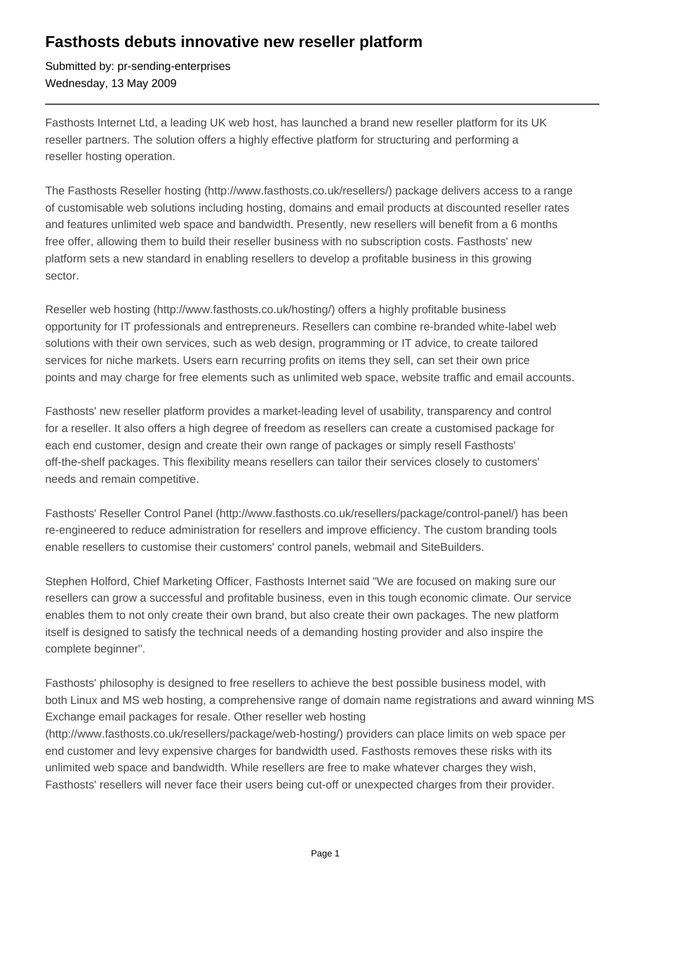## **Fasthosts debuts innovative new reseller platform**

Submitted by: pr-sending-enterprises Wednesday, 13 May 2009

Fasthosts Internet Ltd, a leading UK web host, has launched a brand new reseller platform for its UK reseller partners. The solution offers a highly effective platform for structuring and performing a reseller hosting operation.

The Fasthosts Reseller hosting (http://www.fasthosts.co.uk/resellers/) package delivers access to a range of customisable web solutions including hosting, domains and email products at discounted reseller rates and features unlimited web space and bandwidth. Presently, new resellers will benefit from a 6 months free offer, allowing them to build their reseller business with no subscription costs. Fasthosts' new platform sets a new standard in enabling resellers to develop a profitable business in this growing sector.

Reseller web hosting (http://www.fasthosts.co.uk/hosting/) offers a highly profitable business opportunity for IT professionals and entrepreneurs. Resellers can combine re-branded white-label web solutions with their own services, such as web design, programming or IT advice, to create tailored services for niche markets. Users earn recurring profits on items they sell, can set their own price points and may charge for free elements such as unlimited web space, website traffic and email accounts.

Fasthosts' new reseller platform provides a market-leading level of usability, transparency and control for a reseller. It also offers a high degree of freedom as resellers can create a customised package for each end customer, design and create their own range of packages or simply resell Fasthosts' off-the-shelf packages. This flexibility means resellers can tailor their services closely to customers' needs and remain competitive.

Fasthosts' Reseller Control Panel (http://www.fasthosts.co.uk/resellers/package/control-panel/) has been re-engineered to reduce administration for resellers and improve efficiency. The custom branding tools enable resellers to customise their customers' control panels, webmail and SiteBuilders.

Stephen Holford, Chief Marketing Officer, Fasthosts Internet said "We are focused on making sure our resellers can grow a successful and profitable business, even in this tough economic climate. Our service enables them to not only create their own brand, but also create their own packages. The new platform itself is designed to satisfy the technical needs of a demanding hosting provider and also inspire the complete beginner".

Fasthosts' philosophy is designed to free resellers to achieve the best possible business model, with both Linux and MS web hosting, a comprehensive range of domain name registrations and award winning MS Exchange email packages for resale. Other reseller web hosting

(http://www.fasthosts.co.uk/resellers/package/web-hosting/) providers can place limits on web space per end customer and levy expensive charges for bandwidth used. Fasthosts removes these risks with its unlimited web space and bandwidth. While resellers are free to make whatever charges they wish, Fasthosts' resellers will never face their users being cut-off or unexpected charges from their provider.